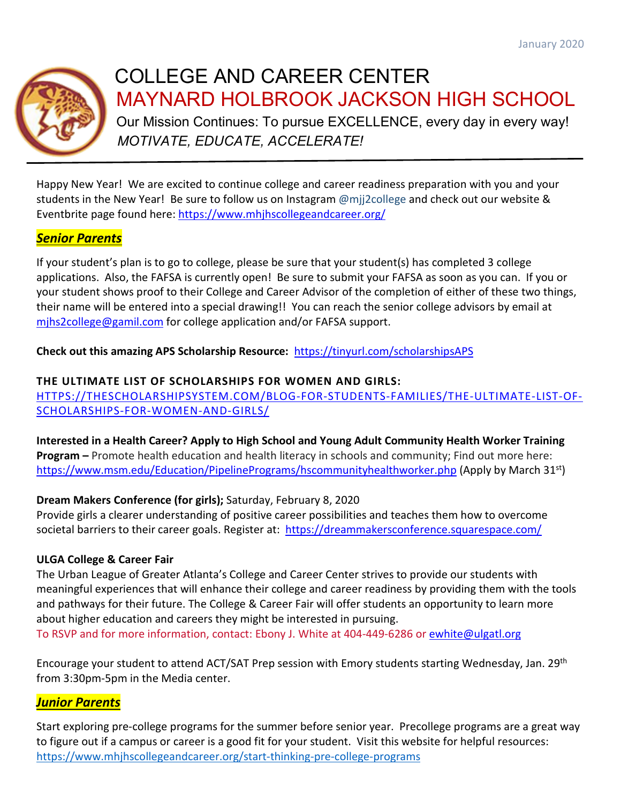

# COLLEGE AND CAREER CENTER MAYNARD [HOLBROOK](https://www.mhjhscollegeandcareer.org/) JACKSON HIGH SCHOOL

Our Mission Continues: To pursue EXCELLENCE, every day in every way! *MOTIVATE, EDUCATE, ACCELERATE!*

Happy New Year! We are excited to continue college and career readiness preparation with you and your students in the New Year! Be sure to follow us on Instagram @mjj2college and check out our website & Eventbrite page found here: <https://www.mhjhscollegeandcareer.org/>

# *Senior Parents*

If your student's plan is to go to college, please be sure that your student(s) has completed 3 college applications. Also, the FAFSA is currently open! Be sure to submit your FAFSA as soon as you can. If you or your student shows proof to their College and Career Advisor of the completion of either of these two things, their name will be entered into a special drawing!! You can reach the senior college advisors by email at [mjhs2college@gamil.com](mailto:mjhs2college@gamil.com) for college application and/or FAFSA support.

**Check out this amazing APS Scholarship Resource:** <https://tinyurl.com/scholarshipsAPS>

## **THE ULTIMATE LIST OF SCHOLARSHIPS FOR WOMEN AND GIRLS:**

[HTTPS://THESCHOLARSHIPSYSTEM.COM/BLOG-FOR-STUDENTS-FAMILIES/THE-ULTIMATE-LIST-OF-](https://thescholarshipsystem.com/blog-for-students-families/the-ultimate-list-of-scholarships-for-women-and-girls/)[SCHOLARSHIPS-FOR-WOMEN-AND-GIRLS/](https://thescholarshipsystem.com/blog-for-students-families/the-ultimate-list-of-scholarships-for-women-and-girls/)

**Interested in a Health Career? Apply to High School and Young Adult Community Health Worker Training Program –** Promote health education and health literacy in schools and community; Find out more here: <https://www.msm.edu/Education/PipelinePrograms/hscommunityhealthworker.php> (Apply by March 31<sup>st</sup>)

# **Dream Makers Conference (for girls);** Saturday, February 8, 2020

Provide girls a clearer understanding of positive career possibilities and teaches them how to overcome societal barriers to their career goals. Register at: <https://dreammakersconference.squarespace.com/>

## **ULGA College & Career Fair**

The Urban League of Greater Atlanta's College and Career Center strives to provide our students with meaningful experiences that will enhance their college and career readiness by providing them with the tools and pathways for their future. The College & Career Fair will offer students an opportunity to learn more about higher education and careers they might be interested in pursuing. To RSVP and for more information, contact: Ebony J. White at 404-449-6286 or [ewhite@ulgatl.org](mailto:ewhite@ulgatl.org)

Encourage your student to attend ACT/SAT Prep session with Emory students starting Wednesday, Jan. 29th from 3:30pm-5pm in the Media center.

# *Junior Parents*

Start exploring pre-college programs for the summer before senior year. Precollege programs are a great way to figure out if a campus or career is a good fit for your student. Visit this website for helpful resources: [https://www.mhjhscollegeandcareer.org/start-thinking-pre-college-programs](https://webmail.apsk12.org/owa/redir.aspx?C=zwgqZKmEWdAVDJT9zUcI-MCy3cIcZs_aiIqzg2klJRdIP_twX5DXCA..&URL=https%3a%2f%2fwww.mhjhscollegeandcareer.org%2fstart-thinking-pre-college-programs)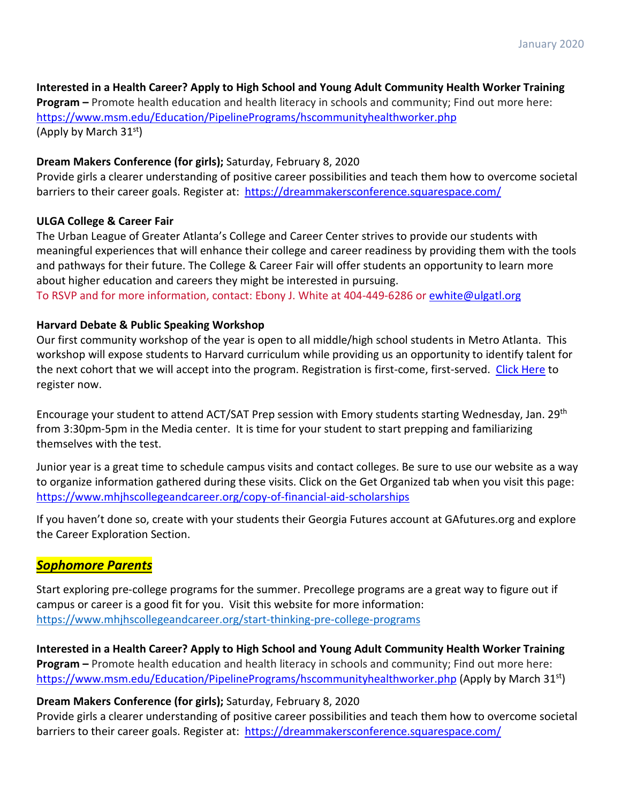## **Interested in a Health Career? Apply to High School and Young Adult Community Health Worker Training**

**Program –** Promote health education and health literacy in schools and community; Find out more here: <https://www.msm.edu/Education/PipelinePrograms/hscommunityhealthworker.php> (Apply by March 31st)

## **Dream Makers Conference (for girls);** Saturday, February 8, 2020

Provide girls a clearer understanding of positive career possibilities and teach them how to overcome societal barriers to their career goals. Register at: <https://dreammakersconference.squarespace.com/>

## **ULGA College & Career Fair**

The Urban League of Greater Atlanta's College and Career Center strives to provide our students with meaningful experiences that will enhance their college and career readiness by providing them with the tools and pathways for their future. The College & Career Fair will offer students an opportunity to learn more about higher education and careers they might be interested in pursuing.

To RSVP and for more information, contact: Ebony J. White at 404-449-6286 or [ewhite@ulgatl.org](mailto:ewhite@ulgatl.org)

## **Harvard Debate & Public Speaking Workshop**

Our first community workshop of the year is open to all middle/high school students in Metro Atlanta. This workshop will expose students to Harvard curriculum while providing us an opportunity to identify talent for the next cohort that we will accept into the program. Registration is first-come, first-served. [Click Here](https://webmail.apsk12.org/owa/redir.aspx?C=pxb9fgxQPQhqtTHY_jvrPJ6klvZnmRokAgRgGkxl269LrK_JVZnXCA..&URL=https%3a%2f%2furldefense.proofpoint.com%2fv2%2furl%3fu%3dhttp-3A__harvardatl.eventbrite.com_%26d%3dDwMFaQ%26c%3dpRqH8TGe5XvVuak1ltMUzg%26r%3dfH6HNsNkhGwHF4758gzTKx69P8_ciOMrv788UXYalNM%26m%3dgjAO666eHFy93iNeq-bj_mOYlIXfsiGK9n8ZrcpHTLY%26s%3dov1B3mEG5jMEAEqixAYA43IGRR2PsBOn7v9alRzycjM%26e%3d) to register now.

Encourage your student to attend ACT/SAT Prep session with Emory students starting Wednesday, Jan. 29th from 3:30pm-5pm in the Media center. It is time for your student to start prepping and familiarizing themselves with the test.

Junior year is a great time to schedule campus visits and contact colleges. Be sure to use our website as a way to organize information gathered during these visits. Click on the Get Organized tab when you visit this page: <https://www.mhjhscollegeandcareer.org/copy-of-financial-aid-scholarships>

If you haven't done so, create with your students their Georgia Futures account at GAfutures.org and explore the Career Exploration Section.

## *Sophomore Parents*

Start exploring pre-college programs for the summer. Precollege programs are a great way to figure out if campus or career is a good fit for you. Visit this website for more information: [https://www.mhjhscollegeandcareer.org/start-thinking-pre-college-programs](https://webmail.apsk12.org/owa/redir.aspx?C=uhjaPhmhlm6k6Le5l2hZOQVNMo--1DoT3txC_I8TCvhZZvtwX5DXCA..&URL=https%3a%2f%2fwww.mhjhscollegeandcareer.org%2fstart-thinking-pre-college-programs)

**Interested in a Health Career? Apply to High School and Young Adult Community Health Worker Training Program –** Promote health education and health literacy in schools and community; Find out more here: <https://www.msm.edu/Education/PipelinePrograms/hscommunityhealthworker.php> (Apply by March 31<sup>st</sup>)

## **Dream Makers Conference (for girls);** Saturday, February 8, 2020

Provide girls a clearer understanding of positive career possibilities and teach them how to overcome societal barriers to their career goals. Register at: <https://dreammakersconference.squarespace.com/>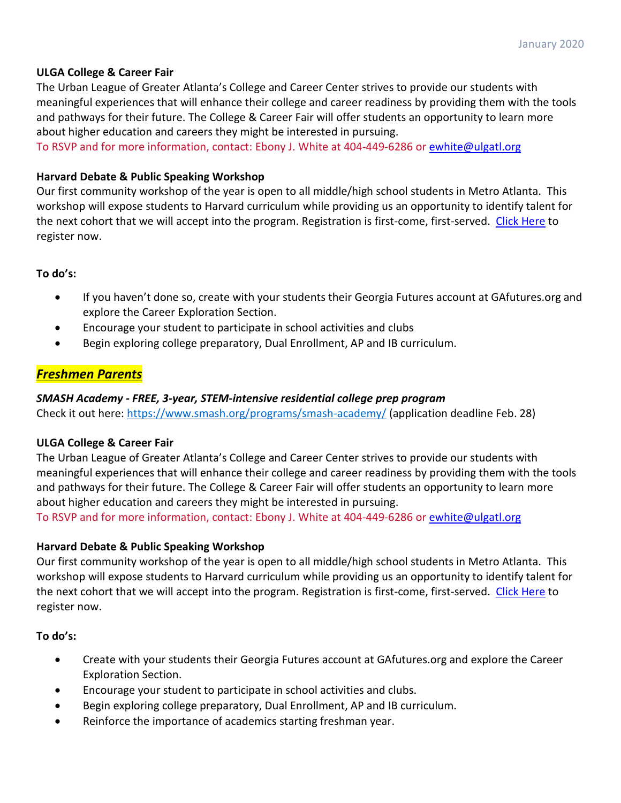## **ULGA College & Career Fair**

The Urban League of Greater Atlanta's College and Career Center strives to provide our students with meaningful experiences that will enhance their college and career readiness by providing them with the tools and pathways for their future. The College & Career Fair will offer students an opportunity to learn more about higher education and careers they might be interested in pursuing.

To RSVP and for more information, contact: Ebony J. White at 404-449-6286 or [ewhite@ulgatl.org](mailto:ewhite@ulgatl.org)

## **Harvard Debate & Public Speaking Workshop**

Our first community workshop of the year is open to all middle/high school students in Metro Atlanta. This workshop will expose students to Harvard curriculum while providing us an opportunity to identify talent for the next cohort that we will accept into the program. Registration is first-come, first-served. [Click Here](https://webmail.apsk12.org/owa/redir.aspx?C=pxb9fgxQPQhqtTHY_jvrPJ6klvZnmRokAgRgGkxl269LrK_JVZnXCA..&URL=https%3a%2f%2furldefense.proofpoint.com%2fv2%2furl%3fu%3dhttp-3A__harvardatl.eventbrite.com_%26d%3dDwMFaQ%26c%3dpRqH8TGe5XvVuak1ltMUzg%26r%3dfH6HNsNkhGwHF4758gzTKx69P8_ciOMrv788UXYalNM%26m%3dgjAO666eHFy93iNeq-bj_mOYlIXfsiGK9n8ZrcpHTLY%26s%3dov1B3mEG5jMEAEqixAYA43IGRR2PsBOn7v9alRzycjM%26e%3d) to register now.

**To do's:** 

- If you haven't done so, create with your students their Georgia Futures account at GAfutures.org and explore the Career Exploration Section.
- Encourage your student to participate in school activities and clubs
- Begin exploring college preparatory, Dual Enrollment, AP and IB curriculum.

## *Freshmen Parents*

### *SMASH Academy - FREE, 3-year, STEM-intensive residential college prep program*

Check it out here: [https://www.smash.org/programs/smash-academy/](https://webmail.apsk12.org/owa/redir.aspx?C=8NrwQhEnoqJ36AVV5kAVZAJTUOpgBlYByPcXqz2tImAlllknYJDXCA..&URL=https%3a%2f%2fwww.smash.org%2fprograms%2fsmash-academy%2f) (application deadline Feb. 28)

### **ULGA College & Career Fair**

The Urban League of Greater Atlanta's College and Career Center strives to provide our students with meaningful experiences that will enhance their college and career readiness by providing them with the tools and pathways for their future. The College & Career Fair will offer students an opportunity to learn more about higher education and careers they might be interested in pursuing.

To RSVP and for more information, contact: Ebony J. White at 404-449-6286 or [ewhite@ulgatl.org](mailto:ewhite@ulgatl.org)

### **Harvard Debate & Public Speaking Workshop**

Our first community workshop of the year is open to all middle/high school students in Metro Atlanta. This workshop will expose students to Harvard curriculum while providing us an opportunity to identify talent for the next cohort that we will accept into the program. Registration is first-come, first-served. [Click Here](https://webmail.apsk12.org/owa/redir.aspx?C=pxb9fgxQPQhqtTHY_jvrPJ6klvZnmRokAgRgGkxl269LrK_JVZnXCA..&URL=https%3a%2f%2furldefense.proofpoint.com%2fv2%2furl%3fu%3dhttp-3A__harvardatl.eventbrite.com_%26d%3dDwMFaQ%26c%3dpRqH8TGe5XvVuak1ltMUzg%26r%3dfH6HNsNkhGwHF4758gzTKx69P8_ciOMrv788UXYalNM%26m%3dgjAO666eHFy93iNeq-bj_mOYlIXfsiGK9n8ZrcpHTLY%26s%3dov1B3mEG5jMEAEqixAYA43IGRR2PsBOn7v9alRzycjM%26e%3d) to register now.

**To do's:** 

- Create with your students their Georgia Futures account at GAfutures.org and explore the Career Exploration Section.
- Encourage your student to participate in school activities and clubs.
- Begin exploring college preparatory, Dual Enrollment, AP and IB curriculum.
- Reinforce the importance of academics starting freshman year.